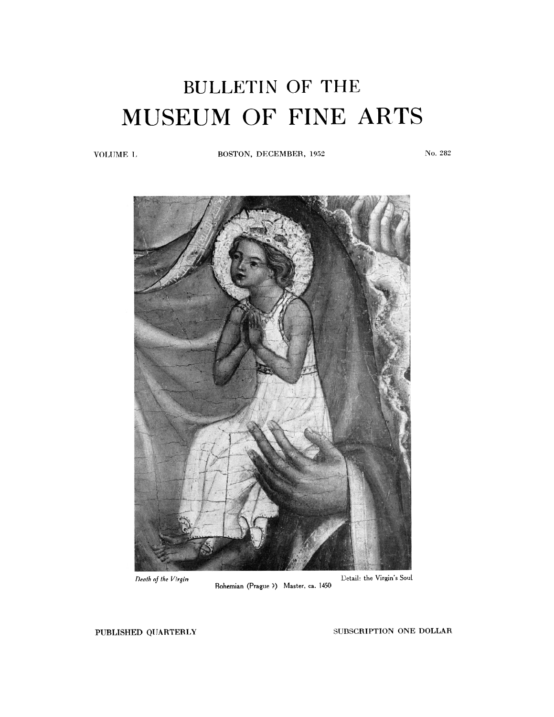## BULLETIN OF THE MUSEUM OF FINE ARTS

VOLUME L **BOSTON, DECEMBER, 1952** No. **282** 



**Bohemian (Prague** ?) **Master, ca. 1450** 

**PUBLISHED QUARTERLY SUBSCRIPTION ONE DOLLAR**